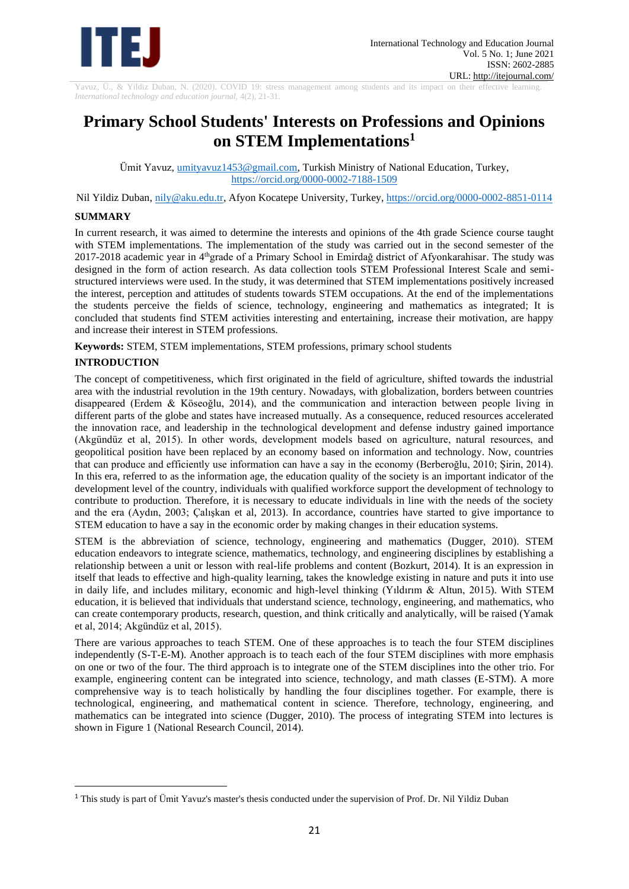

Yavuz, Ü., & Yildiz Duban, N. (2020). COVID 19: stress management among students and its impact on their effective learning. *International technology and education journal,* 4(2), 21-31.

# **Primary School Students' Interests on Professions and Opinions on STEM Implementations<sup>1</sup>**

Ümit Yavuz[, umityavuz1453@gmail.com,](mailto:umityavuz1453@gmail.com) Turkish Ministry of National Education, Turkey, <https://orcid.org/0000-0002-7188-1509>

Nil Yildiz Duban, [nily@aku.edu.tr,](mailto:nily@aku.edu.tr) Afyon Kocatepe University, Turkey,<https://orcid.org/0000-0002-8851-0114>

# **SUMMARY**

In current research, it was aimed to determine the interests and opinions of the 4th grade Science course taught with STEM implementations. The implementation of the study was carried out in the second semester of the 2017-2018 academic year in 4thgrade of a Primary School in Emirdağ district of Afyonkarahisar. The study was designed in the form of action research. As data collection tools STEM Professional Interest Scale and semistructured interviews were used. In the study, it was determined that STEM implementations positively increased the interest, perception and attitudes of students towards STEM occupations. At the end of the implementations the students perceive the fields of science, technology, engineering and mathematics as integrated; It is concluded that students find STEM activities interesting and entertaining, increase their motivation, are happy and increase their interest in STEM professions.

**Keywords:** STEM, STEM implementations, STEM professions, primary school students

# **INTRODUCTION**

The concept of competitiveness, which first originated in the field of agriculture, shifted towards the industrial area with the industrial revolution in the 19th century. Nowadays, with globalization, borders between countries disappeared (Erdem & Köseoğlu, 2014), and the communication and interaction between people living in different parts of the globe and states have increased mutually. As a consequence, reduced resources accelerated the innovation race, and leadership in the technological development and defense industry gained importance (Akgündüz et al, 2015). In other words, development models based on agriculture, natural resources, and geopolitical position have been replaced by an economy based on information and technology. Now, countries that can produce and efficiently use information can have a say in the economy (Berberoğlu, 2010; Şirin, 2014). In this era, referred to as the information age, the education quality of the society is an important indicator of the development level of the country, individuals with qualified workforce support the development of technology to contribute to production. Therefore, it is necessary to educate individuals in line with the needs of the society and the era (Aydın, 2003; Çalışkan et al, 2013). In accordance, countries have started to give importance to STEM education to have a say in the economic order by making changes in their education systems.

STEM is the abbreviation of science, technology, engineering and mathematics (Dugger, 2010). STEM education endeavors to integrate science, mathematics, technology, and engineering disciplines by establishing a relationship between a unit or lesson with real-life problems and content (Bozkurt, 2014). It is an expression in itself that leads to effective and high-quality learning, takes the knowledge existing in nature and puts it into use in daily life, and includes military, economic and high-level thinking (Yıldırım & Altun, 2015). With STEM education, it is believed that individuals that understand science, technology, engineering, and mathematics, who can create contemporary products, research, question, and think critically and analytically, will be raised (Yamak et al, 2014; Akgündüz et al, 2015).

There are various approaches to teach STEM. One of these approaches is to teach the four STEM disciplines independently (S-T-E-M). Another approach is to teach each of the four STEM disciplines with more emphasis on one or two of the four. The third approach is to integrate one of the STEM disciplines into the other trio. For example, engineering content can be integrated into science, technology, and math classes (E-STM). A more comprehensive way is to teach holistically by handling the four disciplines together. For example, there is technological, engineering, and mathematical content in science. Therefore, technology, engineering, and mathematics can be integrated into science (Dugger, 2010). The process of integrating STEM into lectures is shown in Figure 1 (National Research Council, 2014).

<sup>1</sup> This study is part of Ümit Yavuz's master's thesis conducted under the supervision of Prof. Dr. Nil Yildiz Duban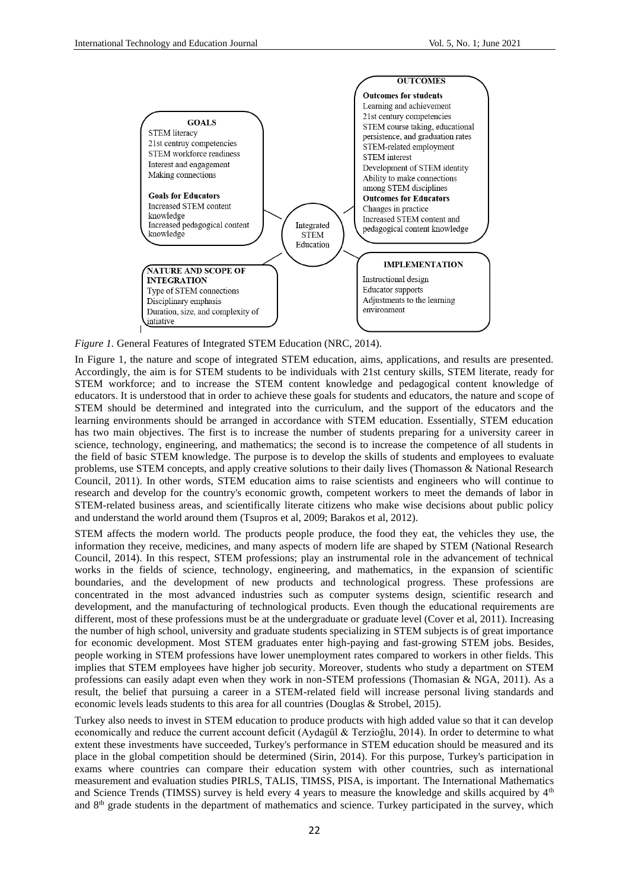

*Figure 1.* General Features of Integrated STEM Education (NRC, 2014).

In Figure 1, the nature and scope of integrated STEM education, aims, applications, and results are presented. Accordingly, the aim is for STEM students to be individuals with 21st century skills, STEM literate, ready for STEM workforce; and to increase the STEM content knowledge and pedagogical content knowledge of educators. It is understood that in order to achieve these goals for students and educators, the nature and scope of STEM should be determined and integrated into the curriculum, and the support of the educators and the learning environments should be arranged in accordance with STEM education. Essentially, STEM education has two main objectives. The first is to increase the number of students preparing for a university career in science, technology, engineering, and mathematics; the second is to increase the competence of all students in the field of basic STEM knowledge. The purpose is to develop the skills of students and employees to evaluate problems, use STEM concepts, and apply creative solutions to their daily lives (Thomasson & National Research Council, 2011). In other words, STEM education aims to raise scientists and engineers who will continue to research and develop for the country's economic growth, competent workers to meet the demands of labor in STEM-related business areas, and scientifically literate citizens who make wise decisions about public policy and understand the world around them (Tsupros et al, 2009; Barakos et al, 2012).

STEM affects the modern world. The products people produce, the food they eat, the vehicles they use, the information they receive, medicines, and many aspects of modern life are shaped by STEM (National Research Council, 2014). In this respect, STEM professions; play an instrumental role in the advancement of technical works in the fields of science, technology, engineering, and mathematics, in the expansion of scientific boundaries, and the development of new products and technological progress. These professions are concentrated in the most advanced industries such as computer systems design, scientific research and development, and the manufacturing of technological products. Even though the educational requirements are different, most of these professions must be at the undergraduate or graduate level (Cover et al, 2011). Increasing the number of high school, university and graduate students specializing in STEM subjects is of great importance for economic development. Most STEM graduates enter high-paying and fast-growing STEM jobs. Besides, people working in STEM professions have lower unemployment rates compared to workers in other fields. This implies that STEM employees have higher job security. Moreover, students who study a department on STEM professions can easily adapt even when they work in non-STEM professions (Thomasian & NGA, 2011). As a result, the belief that pursuing a career in a STEM-related field will increase personal living standards and economic levels leads students to this area for all countries (Douglas & Strobel, 2015).

Turkey also needs to invest in STEM education to produce products with high added value so that it can develop economically and reduce the current account deficit (Aydagül & Terzioğlu, 2014). In order to determine to what extent these investments have succeeded, Turkey's performance in STEM education should be measured and its place in the global competition should be determined (Sirin, 2014). For this purpose, Turkey's participation in exams where countries can compare their education system with other countries, such as international measurement and evaluation studies PIRLS, TALIS, TIMSS, PISA, is important. The International Mathematics and Science Trends (TIMSS) survey is held every 4 years to measure the knowledge and skills acquired by 4<sup>th</sup> and 8th grade students in the department of mathematics and science. Turkey participated in the survey, which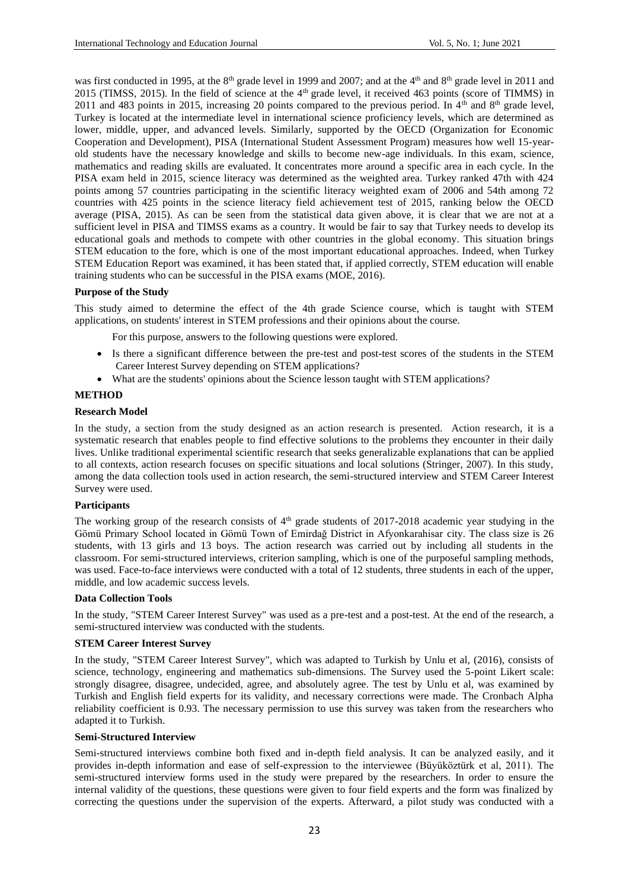was first conducted in 1995, at the 8<sup>th</sup> grade level in 1999 and 2007; and at the 4<sup>th</sup> and 8<sup>th</sup> grade level in 2011 and 2015 (TIMSS, 2015). In the field of science at the 4<sup>th</sup> grade level, it received 463 points (score of TIMMS) in 2011 and 483 points in 2015, increasing 20 points compared to the previous period. In  $4<sup>th</sup>$  and  $8<sup>th</sup>$  grade level, Turkey is located at the intermediate level in international science proficiency levels, which are determined as lower, middle, upper, and advanced levels. Similarly, supported by the OECD (Organization for Economic Cooperation and Development), PISA (International Student Assessment Program) measures how well 15-yearold students have the necessary knowledge and skills to become new-age individuals. In this exam, science, mathematics and reading skills are evaluated. It concentrates more around a specific area in each cycle. In the PISA exam held in 2015, science literacy was determined as the weighted area. Turkey ranked 47th with 424 points among 57 countries participating in the scientific literacy weighted exam of 2006 and 54th among 72 countries with 425 points in the science literacy field achievement test of 2015, ranking below the OECD average (PISA, 2015). As can be seen from the statistical data given above, it is clear that we are not at a sufficient level in PISA and TIMSS exams as a country. It would be fair to say that Turkey needs to develop its educational goals and methods to compete with other countries in the global economy. This situation brings STEM education to the fore, which is one of the most important educational approaches. Indeed, when Turkey STEM Education Report was examined, it has been stated that, if applied correctly, STEM education will enable training students who can be successful in the PISA exams (MOE, 2016).

# **Purpose of the Study**

This study aimed to determine the effect of the 4th grade Science course, which is taught with STEM applications, on students' interest in STEM professions and their opinions about the course.

For this purpose, answers to the following questions were explored.

- Is there a significant difference between the pre-test and post-test scores of the students in the STEM Career Interest Survey depending on STEM applications?
- What are the students' opinions about the Science lesson taught with STEM applications?

# **METHOD**

#### **Research Model**

In the study, a section from the study designed as an action research is presented. Action research, it is a systematic research that enables people to find effective solutions to the problems they encounter in their daily lives. Unlike traditional experimental scientific research that seeks generalizable explanations that can be applied to all contexts, action research focuses on specific situations and local solutions (Stringer, 2007). In this study, among the data collection tools used in action research, the semi-structured interview and STEM Career Interest Survey were used.

# **Participants**

The working group of the research consists of 4<sup>th</sup> grade students of 2017-2018 academic year studying in the Gömü Primary School located in Gömü Town of Emirdağ District in Afyonkarahisar city. The class size is 26 students, with 13 girls and 13 boys. The action research was carried out by including all students in the classroom. For semi-structured interviews, criterion sampling, which is one of the purposeful sampling methods, was used. Face-to-face interviews were conducted with a total of 12 students, three students in each of the upper, middle, and low academic success levels.

#### **Data Collection Tools**

In the study, "STEM Career Interest Survey" was used as a pre-test and a post-test. At the end of the research, a semi-structured interview was conducted with the students.

#### **STEM Career Interest Survey**

In the study, "STEM Career Interest Survey", which was adapted to Turkish by Unlu et al, (2016), consists of science, technology, engineering and mathematics sub-dimensions. The Survey used the 5-point Likert scale: strongly disagree, disagree, undecided, agree, and absolutely agree. The test by Unlu et al, was examined by Turkish and English field experts for its validity, and necessary corrections were made. The Cronbach Alpha reliability coefficient is 0.93. The necessary permission to use this survey was taken from the researchers who adapted it to Turkish.

#### **Semi-Structured Interview**

Semi-structured interviews combine both fixed and in-depth field analysis. It can be analyzed easily, and it provides in-depth information and ease of self-expression to the interviewee (Büyüköztürk et al, 2011). The semi-structured interview forms used in the study were prepared by the researchers. In order to ensure the internal validity of the questions, these questions were given to four field experts and the form was finalized by correcting the questions under the supervision of the experts. Afterward, a pilot study was conducted with a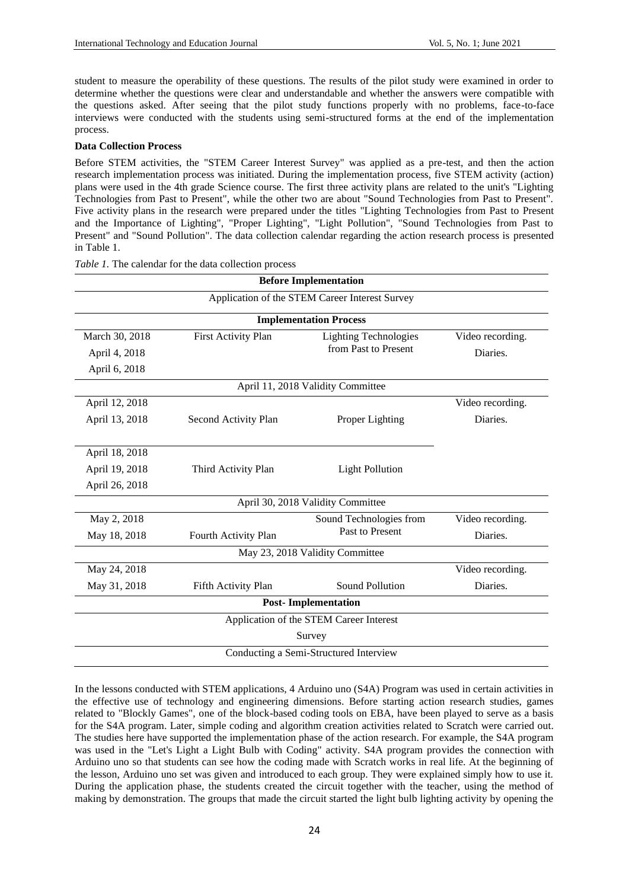student to measure the operability of these questions. The results of the pilot study were examined in order to determine whether the questions were clear and understandable and whether the answers were compatible with the questions asked. After seeing that the pilot study functions properly with no problems, face-to-face interviews were conducted with the students using semi-structured forms at the end of the implementation process.

# **Data Collection Process**

Before STEM activities, the "STEM Career Interest Survey" was applied as a pre-test, and then the action research implementation process was initiated. During the implementation process, five STEM activity (action) plans were used in the 4th grade Science course. The first three activity plans are related to the unit's "Lighting Technologies from Past to Present", while the other two are about "Sound Technologies from Past to Present". Five activity plans in the research were prepared under the titles "Lighting Technologies from Past to Present and the Importance of Lighting", "Proper Lighting", "Light Pollution", "Sound Technologies from Past to Present" and "Sound Pollution". The data collection calendar regarding the action research process is presented in Table 1.

| <b>Before Implementation</b>           |                                                |                                         |                  |  |  |  |
|----------------------------------------|------------------------------------------------|-----------------------------------------|------------------|--|--|--|
|                                        | Application of the STEM Career Interest Survey |                                         |                  |  |  |  |
|                                        |                                                | <b>Implementation Process</b>           |                  |  |  |  |
| March 30, 2018                         | First Activity Plan                            | <b>Lighting Technologies</b>            | Video recording. |  |  |  |
| April 4, 2018                          |                                                | from Past to Present                    | Diaries.         |  |  |  |
| April 6, 2018                          |                                                |                                         |                  |  |  |  |
|                                        |                                                | April 11, 2018 Validity Committee       |                  |  |  |  |
| April 12, 2018                         |                                                |                                         | Video recording. |  |  |  |
| April 13, 2018                         | Second Activity Plan                           | Proper Lighting                         | Diaries.         |  |  |  |
|                                        |                                                |                                         |                  |  |  |  |
| April 18, 2018                         |                                                |                                         |                  |  |  |  |
| April 19, 2018                         | Third Activity Plan                            | <b>Light Pollution</b>                  |                  |  |  |  |
| April 26, 2018                         |                                                |                                         |                  |  |  |  |
|                                        |                                                | April 30, 2018 Validity Committee       |                  |  |  |  |
| May 2, 2018                            |                                                | Sound Technologies from                 | Video recording. |  |  |  |
| May 18, 2018                           | Fourth Activity Plan                           | Past to Present                         | Diaries.         |  |  |  |
|                                        | May 23, 2018 Validity Committee                |                                         |                  |  |  |  |
| May 24, 2018                           |                                                |                                         | Video recording. |  |  |  |
| May 31, 2018                           | Fifth Activity Plan                            | Sound Pollution                         | Diaries.         |  |  |  |
| <b>Post-Implementation</b>             |                                                |                                         |                  |  |  |  |
|                                        |                                                | Application of the STEM Career Interest |                  |  |  |  |
|                                        | Survey                                         |                                         |                  |  |  |  |
| Conducting a Semi-Structured Interview |                                                |                                         |                  |  |  |  |

*Table 1.* The calendar for the data collection process

In the lessons conducted with STEM applications, 4 Arduino uno (S4A) Program was used in certain activities in the effective use of technology and engineering dimensions. Before starting action research studies, games related to "Blockly Games", one of the block-based coding tools on EBA, have been played to serve as a basis for the S4A program. Later, simple coding and algorithm creation activities related to Scratch were carried out. The studies here have supported the implementation phase of the action research. For example, the S4A program was used in the "Let's Light a Light Bulb with Coding" activity. S4A program provides the connection with Arduino uno so that students can see how the coding made with Scratch works in real life. At the beginning of the lesson, Arduino uno set was given and introduced to each group. They were explained simply how to use it. During the application phase, the students created the circuit together with the teacher, using the method of making by demonstration. The groups that made the circuit started the light bulb lighting activity by opening the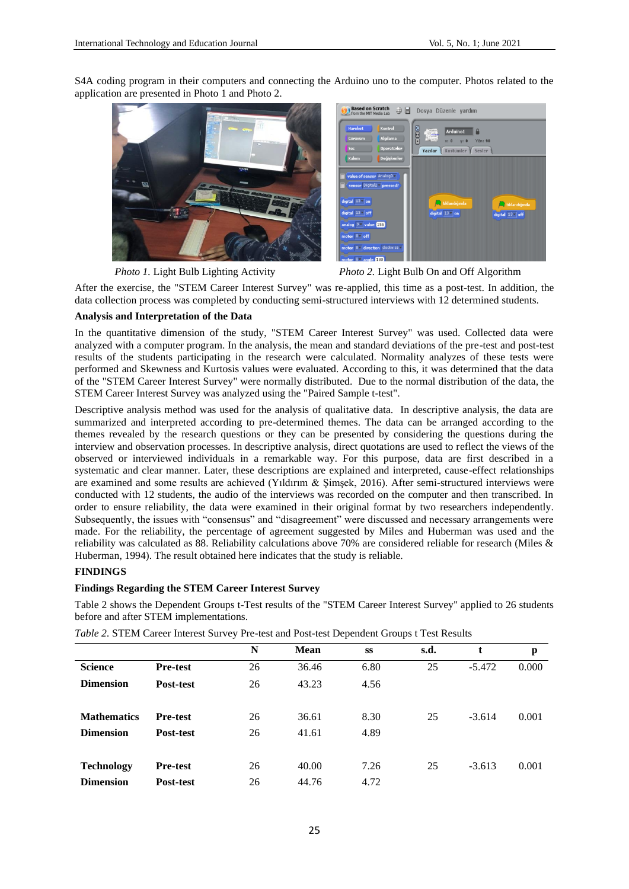S4A coding program in their computers and connecting the Arduino uno to the computer. Photos related to the application are presented in Photo 1 and Photo 2.



*Photo 1.* Light Bulb Lighting Activity *Photo 2.* Light Bulb On and Off Algorithm

After the exercise, the "STEM Career Interest Survey" was re-applied, this time as a post-test. In addition, the data collection process was completed by conducting semi-structured interviews with 12 determined students.

# **Analysis and Interpretation of the Data**

In the quantitative dimension of the study, "STEM Career Interest Survey" was used. Collected data were analyzed with a computer program. In the analysis, the mean and standard deviations of the pre-test and post-test results of the students participating in the research were calculated. Normality analyzes of these tests were performed and Skewness and Kurtosis values were evaluated. According to this, it was determined that the data of the "STEM Career Interest Survey" were normally distributed. Due to the normal distribution of the data, the STEM Career Interest Survey was analyzed using the "Paired Sample t-test".

Descriptive analysis method was used for the analysis of qualitative data. In descriptive analysis, the data are summarized and interpreted according to pre-determined themes. The data can be arranged according to the themes revealed by the research questions or they can be presented by considering the questions during the interview and observation processes. In descriptive analysis, direct quotations are used to reflect the views of the observed or interviewed individuals in a remarkable way. For this purpose, data are first described in a systematic and clear manner. Later, these descriptions are explained and interpreted, cause-effect relationships are examined and some results are achieved (Yıldırım & Şimşek, 2016). After semi-structured interviews were conducted with 12 students, the audio of the interviews was recorded on the computer and then transcribed. In order to ensure reliability, the data were examined in their original format by two researchers independently. Subsequently, the issues with "consensus" and "disagreement" were discussed and necessary arrangements were made. For the reliability, the percentage of agreement suggested by Miles and Huberman was used and the reliability was calculated as 88. Reliability calculations above 70% are considered reliable for research (Miles & Huberman, 1994). The result obtained here indicates that the study is reliable.

# **FINDINGS**

# **Findings Regarding the STEM Career Interest Survey**

Table 2 shows the Dependent Groups t-Test results of the "STEM Career Interest Survey" applied to 26 students before and after STEM implementations.

|                    |                 | N  | <b>Mean</b> | SS   | s.d. | t        | p     |
|--------------------|-----------------|----|-------------|------|------|----------|-------|
| <b>Science</b>     | <b>Pre-test</b> | 26 | 36.46       | 6.80 | 25   | $-5.472$ | 0.000 |
| <b>Dimension</b>   | Post-test       | 26 | 43.23       | 4.56 |      |          |       |
| <b>Mathematics</b> | <b>Pre-test</b> | 26 | 36.61       | 8.30 | 25   | $-3.614$ | 0.001 |
| <b>Dimension</b>   | Post-test       | 26 | 41.61       | 4.89 |      |          |       |
| <b>Technology</b>  | <b>Pre-test</b> | 26 | 40.00       | 7.26 | 25   | $-3.613$ | 0.001 |
| <b>Dimension</b>   | Post-test       | 26 | 44.76       | 4.72 |      |          |       |

*Table 2.* STEM Career Interest Survey Pre-test and Post-test Dependent Groups t Test Results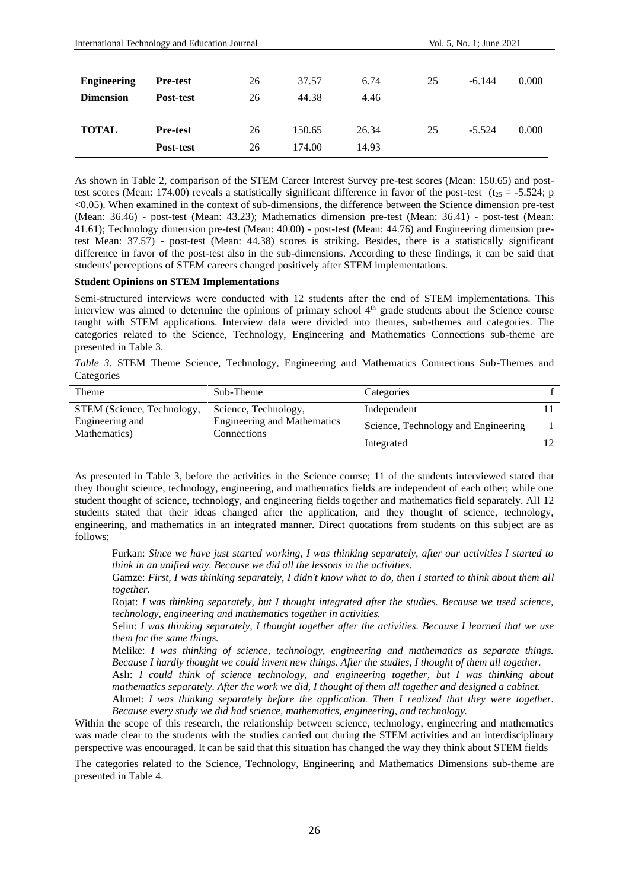| International Technology and Education Journal |                 |    |        | Vol. 5, No. 1; June 2021 |    |          |       |
|------------------------------------------------|-----------------|----|--------|--------------------------|----|----------|-------|
| <b>Engineering</b>                             | <b>Pre-test</b> | 26 | 37.57  | 6.74                     | 25 | $-6.144$ | 0.000 |
| <b>Dimension</b>                               | Post-test       | 26 | 44.38  | 4.46                     |    |          |       |
| <b>TOTAL</b>                                   | <b>Pre-test</b> | 26 | 150.65 | 26.34                    | 25 | $-5.524$ | 0.000 |
|                                                | Post-test       | 26 | 174.00 | 14.93                    |    |          |       |

As shown in Table 2, comparison of the STEM Career Interest Survey pre-test scores (Mean: 150.65) and posttest scores (Mean: 174.00) reveals a statistically significant difference in favor of the post-test (t<sub>25</sub> = -5.524; p <0.05). When examined in the context of sub-dimensions, the difference between the Science dimension pre-test (Mean: 36.46) - post-test (Mean: 43.23); Mathematics dimension pre-test (Mean: 36.41) - post-test (Mean: 41.61); Technology dimension pre-test (Mean: 40.00) - post-test (Mean: 44.76) and Engineering dimension pretest Mean: 37.57) - post-test (Mean: 44.38) scores is striking. Besides, there is a statistically significant difference in favor of the post-test also in the sub-dimensions. According to these findings, it can be said that students' perceptions of STEM careers changed positively after STEM implementations.

# **Student Opinions on STEM Implementations**

Semi-structured interviews were conducted with 12 students after the end of STEM implementations. This interview was aimed to determine the opinions of primary school 4<sup>th</sup> grade students about the Science course taught with STEM applications. Interview data were divided into themes, sub-themes and categories. The categories related to the Science, Technology, Engineering and Mathematics Connections sub-theme are presented in Table 3.

*Table 3.* STEM Theme Science, Technology, Engineering and Mathematics Connections Sub-Themes and **Categories** 

| Theme                           | Sub-Theme                                         | Categories                          |    |
|---------------------------------|---------------------------------------------------|-------------------------------------|----|
| STEM (Science, Technology,      | Science, Technology,                              | Independent                         |    |
| Engineering and<br>Mathematics) | <b>Engineering and Mathematics</b><br>Connections | Science, Technology and Engineering |    |
|                                 |                                                   | Integrated                          | 12 |

As presented in Table 3, before the activities in the Science course; 11 of the students interviewed stated that they thought science, technology, engineering, and mathematics fields are independent of each other; while one student thought of science, technology, and engineering fields together and mathematics field separately. All 12 students stated that their ideas changed after the application, and they thought of science, technology, engineering, and mathematics in an integrated manner. Direct quotations from students on this subject are as follows;

Furkan: *Since we have just started working, I was thinking separately, after our activities I started to think in an unified way. Because we did all the lessons in the activities.*

Gamze: *First, I was thinking separately, I didn't know what to do, then I started to think about them all together.*

Rojat: *I was thinking separately, but I thought integrated after the studies. Because we used science, technology, engineering and mathematics together in activities.*

Selin: *I was thinking separately, I thought together after the activities. Because I learned that we use them for the same things.*

Melike: *I was thinking of science, technology, engineering and mathematics as separate things. Because I hardly thought we could invent new things. After the studies, I thought of them all together.*

Aslı: *I could think of science technology, and engineering together, but I was thinking about mathematics separately. After the work we did, I thought of them all together and designed a cabinet.*

Ahmet: *I was thinking separately before the application. Then I realized that they were together. Because every study we did had science, mathematics, engineering, and technology.*

Within the scope of this research, the relationship between science, technology, engineering and mathematics was made clear to the students with the studies carried out during the STEM activities and an interdisciplinary perspective was encouraged. It can be said that this situation has changed the way they think about STEM fields

The categories related to the Science, Technology, Engineering and Mathematics Dimensions sub-theme are presented in Table 4.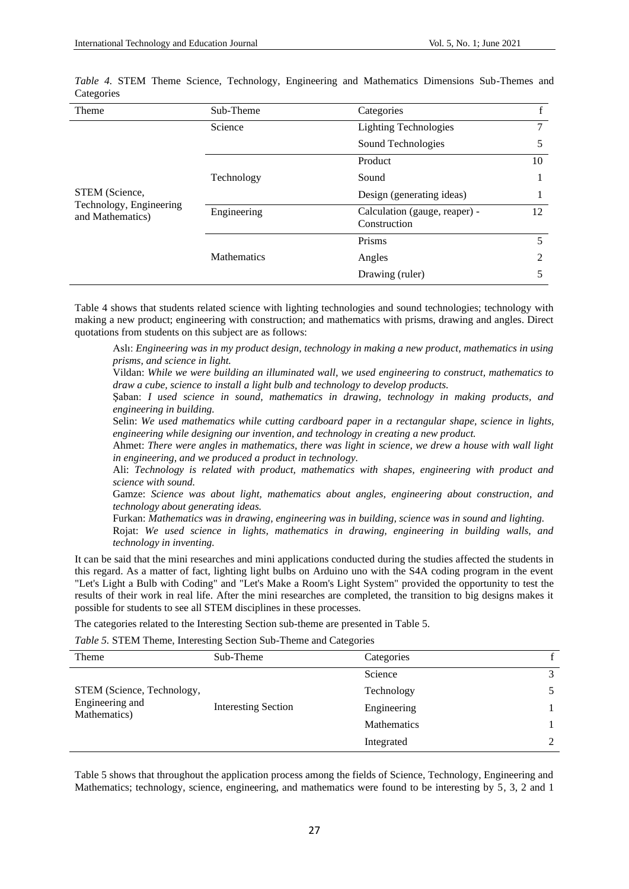| Theme                                       | Sub-Theme          | Categories                                    | $\mathbf{f}$ |
|---------------------------------------------|--------------------|-----------------------------------------------|--------------|
|                                             | Science            | <b>Lighting Technologies</b>                  | 7            |
|                                             |                    | Sound Technologies                            | 5            |
|                                             |                    | Product                                       | 10           |
|                                             | Technology         | Sound                                         |              |
| STEM (Science,                              |                    | Design (generating ideas)                     |              |
| Technology, Engineering<br>and Mathematics) | Engineering        | Calculation (gauge, reaper) -<br>Construction | 12           |
|                                             |                    | Prisms                                        | 5            |
|                                             | <b>Mathematics</b> | Angles                                        | 2            |
|                                             |                    | Drawing (ruler)                               | 5            |

*Table 4.* STEM Theme Science, Technology, Engineering and Mathematics Dimensions Sub-Themes and **Categories** 

Table 4 shows that students related science with lighting technologies and sound technologies; technology with making a new product; engineering with construction; and mathematics with prisms, drawing and angles. Direct quotations from students on this subject are as follows:

Aslı: *Engineering was in my product design, technology in making a new product, mathematics in using prisms, and science in light.*

Vildan: *While we were building an illuminated wall, we used engineering to construct, mathematics to draw a cube, science to install a light bulb and technology to develop products.*

Şaban: *I used science in sound, mathematics in drawing, technology in making products, and engineering in building.*

Selin: *We used mathematics while cutting cardboard paper in a rectangular shape, science in lights, engineering while designing our invention, and technology in creating a new product.*

Ahmet: *There were angles in mathematics, there was light in science, we drew a house with wall light in engineering, and we produced a product in technology.*

Ali: *Technology is related with product, mathematics with shapes, engineering with product and science with sound.*

Gamze: *Science was about light, mathematics about angles, engineering about construction, and technology about generating ideas.*

Furkan: *Mathematics was in drawing, engineering was in building, science was in sound and lighting.*

Rojat: *We used science in lights, mathematics in drawing, engineering in building walls, and technology in inventing.*

It can be said that the mini researches and mini applications conducted during the studies affected the students in this regard. As a matter of fact, lighting light bulbs on Arduino uno with the S4A coding program in the event "Let's Light a Bulb with Coding" and "Let's Make a Room's Light System" provided the opportunity to test the results of their work in real life. After the mini researches are completed, the transition to big designs makes it possible for students to see all STEM disciplines in these processes.

The categories related to the Interesting Section sub-theme are presented in Table 5.

*Table 5.* STEM Theme, Interesting Section Sub-Theme and Categories

| Theme                                                         | Sub-Theme                  | Categories         |   |
|---------------------------------------------------------------|----------------------------|--------------------|---|
|                                                               |                            | Science            | 3 |
| STEM (Science, Technology,<br>Engineering and<br>Mathematics) | <b>Interesting Section</b> | Technology         |   |
|                                                               |                            | Engineering        |   |
|                                                               |                            | <b>Mathematics</b> |   |
|                                                               |                            | Integrated         | 2 |

Table 5 shows that throughout the application process among the fields of Science, Technology, Engineering and Mathematics; technology, science, engineering, and mathematics were found to be interesting by 5, 3, 2 and 1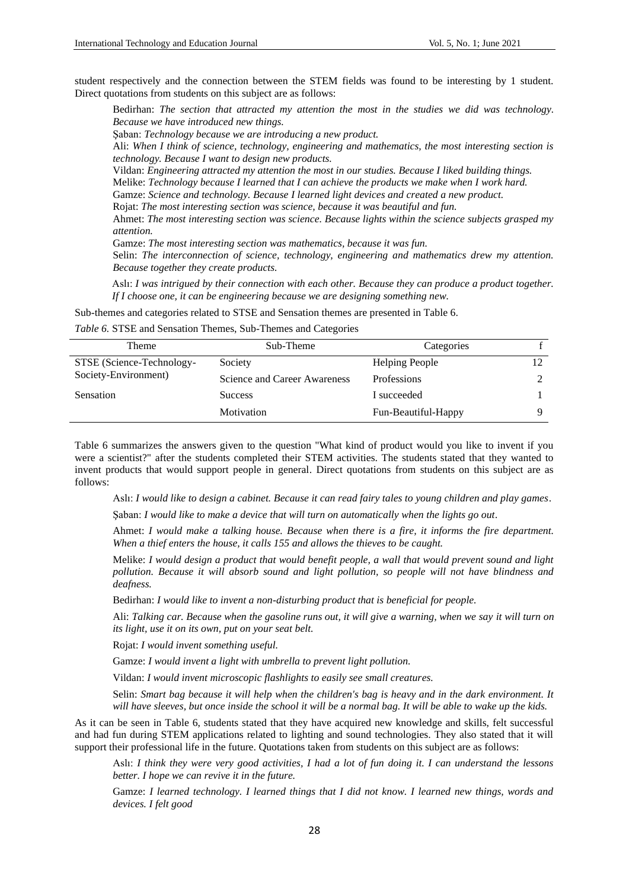student respectively and the connection between the STEM fields was found to be interesting by 1 student. Direct quotations from students on this subject are as follows:

Bedirhan: *The section that attracted my attention the most in the studies we did was technology. Because we have introduced new things.*

Şaban: *Technology because we are introducing a new product.*

Ali: *When I think of science, technology, engineering and mathematics, the most interesting section is technology. Because I want to design new products.*

Vildan: *Engineering attracted my attention the most in our studies. Because I liked building things.*

Melike: *Technology because I learned that I can achieve the products we make when I work hard.*

Gamze: *Science and technology. Because I learned light devices and created a new product.*

Rojat: *The most interesting section was science, because it was beautiful and fun.*

Ahmet: *The most interesting section was science. Because lights within the science subjects grasped my attention.*

Gamze: *The most interesting section was mathematics, because it was fun.*

Selin: *The interconnection of science, technology, engineering and mathematics drew my attention. Because together they create products.*

Aslı: *I was intrigued by their connection with each other. Because they can produce a product together. If I choose one, it can be engineering because we are designing something new.*

Sub-themes and categories related to STSE and Sensation themes are presented in Table 6.

## *Table 6.* STSE and Sensation Themes, Sub-Themes and Categories

| Theme                     | Sub-Theme                    | Categories            |  |
|---------------------------|------------------------------|-----------------------|--|
| STSE (Science-Technology- | Society                      | <b>Helping People</b> |  |
| Society-Environment)      | Science and Career Awareness | <b>Professions</b>    |  |
| <b>Sensation</b>          | <b>Success</b>               | I succeeded           |  |
|                           | Motivation                   | Fun-Beautiful-Happy   |  |

Table 6 summarizes the answers given to the question "What kind of product would you like to invent if you were a scientist?" after the students completed their STEM activities. The students stated that they wanted to invent products that would support people in general. Direct quotations from students on this subject are as follows:

Aslı: *I would like to design a cabinet. Because it can read fairy tales to young children and play games*.

Şaban: *I would like to make a device that will turn on automatically when the lights go out.*

Ahmet: *I would make a talking house. Because when there is a fire, it informs the fire department. When a thief enters the house, it calls 155 and allows the thieves to be caught.*

Melike: *I would design a product that would benefit people, a wall that would prevent sound and light pollution. Because it will absorb sound and light pollution, so people will not have blindness and deafness.*

Bedirhan: *I would like to invent a non-disturbing product that is beneficial for people.*

Ali: *Talking car. Because when the gasoline runs out, it will give a warning, when we say it will turn on its light, use it on its own, put on your seat belt.*

Rojat: *I would invent something useful.*

Gamze: *I would invent a light with umbrella to prevent light pollution.*

Vildan: *I would invent microscopic flashlights to easily see small creatures.*

Selin: *Smart bag because it will help when the children's bag is heavy and in the dark environment. It will have sleeves, but once inside the school it will be a normal bag. It will be able to wake up the kids.*

As it can be seen in Table 6, students stated that they have acquired new knowledge and skills, felt successful and had fun during STEM applications related to lighting and sound technologies. They also stated that it will support their professional life in the future. Quotations taken from students on this subject are as follows:

Aslı: *I think they were very good activities, I had a lot of fun doing it. I can understand the lessons better. I hope we can revive it in the future.*

Gamze: *I learned technology. I learned things that I did not know. I learned new things, words and devices. I felt good*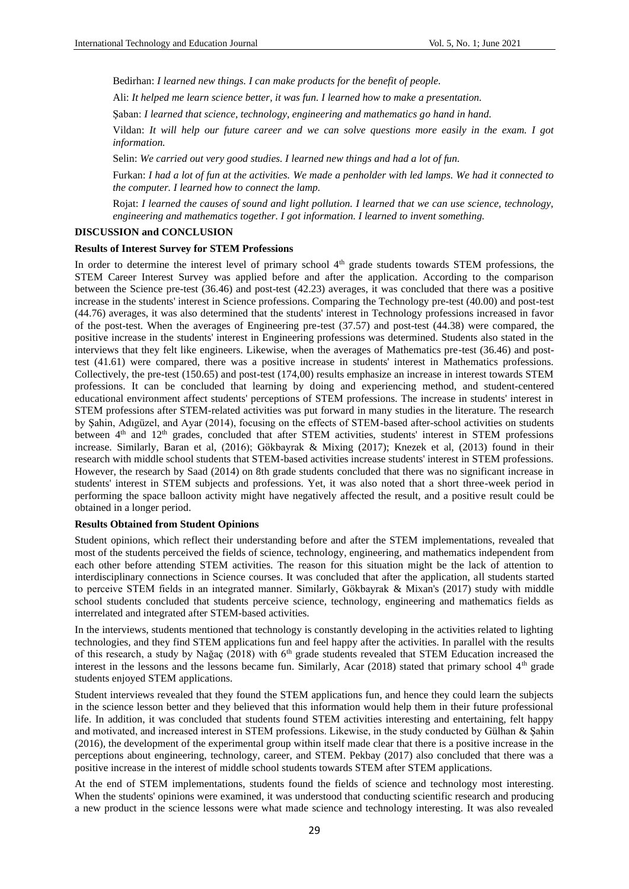Bedirhan: *I learned new things. I can make products for the benefit of people.*

Ali: *It helped me learn science better, it was fun. I learned how to make a presentation.*

Şaban: *I learned that science, technology, engineering and mathematics go hand in hand.*

Vildan: *It will help our future career and we can solve questions more easily in the exam. I got information.*

Selin: *We carried out very good studies. I learned new things and had a lot of fun.*

Furkan: *I had a lot of fun at the activities. We made a penholder with led lamps. We had it connected to the computer. I learned how to connect the lamp.*

Rojat: *I learned the causes of sound and light pollution. I learned that we can use science, technology, engineering and mathematics together. I got information. I learned to invent something.*

# **DISCUSSION and CONCLUSION**

#### **Results of Interest Survey for STEM Professions**

In order to determine the interest level of primary school 4<sup>th</sup> grade students towards STEM professions, the STEM Career Interest Survey was applied before and after the application. According to the comparison between the Science pre-test (36.46) and post-test (42.23) averages, it was concluded that there was a positive increase in the students' interest in Science professions. Comparing the Technology pre-test (40.00) and post-test (44.76) averages, it was also determined that the students' interest in Technology professions increased in favor of the post-test. When the averages of Engineering pre-test (37.57) and post-test (44.38) were compared, the positive increase in the students' interest in Engineering professions was determined. Students also stated in the interviews that they felt like engineers. Likewise, when the averages of Mathematics pre-test (36.46) and posttest (41.61) were compared, there was a positive increase in students' interest in Mathematics professions. Collectively, the pre-test (150.65) and post-test (174,00) results emphasize an increase in interest towards STEM professions. It can be concluded that learning by doing and experiencing method, and student-centered educational environment affect students' perceptions of STEM professions. The increase in students' interest in STEM professions after STEM-related activities was put forward in many studies in the literature. The research by Şahin, Adıgüzel, and Ayar (2014), focusing on the effects of STEM-based after-school activities on students between 4<sup>th</sup> and 12<sup>th</sup> grades, concluded that after STEM activities, students' interest in STEM professions increase. Similarly, Baran et al, (2016); Gökbayrak & Mixing (2017); Knezek et al, (2013) found in their research with middle school students that STEM-based activities increase students' interest in STEM professions. However, the research by Saad (2014) on 8th grade students concluded that there was no significant increase in students' interest in STEM subjects and professions. Yet, it was also noted that a short three-week period in performing the space balloon activity might have negatively affected the result, and a positive result could be obtained in a longer period.

## **Results Obtained from Student Opinions**

Student opinions, which reflect their understanding before and after the STEM implementations, revealed that most of the students perceived the fields of science, technology, engineering, and mathematics independent from each other before attending STEM activities. The reason for this situation might be the lack of attention to interdisciplinary connections in Science courses. It was concluded that after the application, all students started to perceive STEM fields in an integrated manner. Similarly, Gökbayrak & Mixan's (2017) study with middle school students concluded that students perceive science, technology, engineering and mathematics fields as interrelated and integrated after STEM-based activities.

In the interviews, students mentioned that technology is constantly developing in the activities related to lighting technologies, and they find STEM applications fun and feel happy after the activities. In parallel with the results of this research, a study by Nağaç (2018) with  $6<sup>th</sup>$  grade students revealed that STEM Education increased the interest in the lessons and the lessons became fun. Similarly, Acar (2018) stated that primary school  $4<sup>th</sup>$  grade students enjoyed STEM applications.

Student interviews revealed that they found the STEM applications fun, and hence they could learn the subjects in the science lesson better and they believed that this information would help them in their future professional life. In addition, it was concluded that students found STEM activities interesting and entertaining, felt happy and motivated, and increased interest in STEM professions. Likewise, in the study conducted by Gülhan & Şahin (2016), the development of the experimental group within itself made clear that there is a positive increase in the perceptions about engineering, technology, career, and STEM. Pekbay (2017) also concluded that there was a positive increase in the interest of middle school students towards STEM after STEM applications.

At the end of STEM implementations, students found the fields of science and technology most interesting. When the students' opinions were examined, it was understood that conducting scientific research and producing a new product in the science lessons were what made science and technology interesting. It was also revealed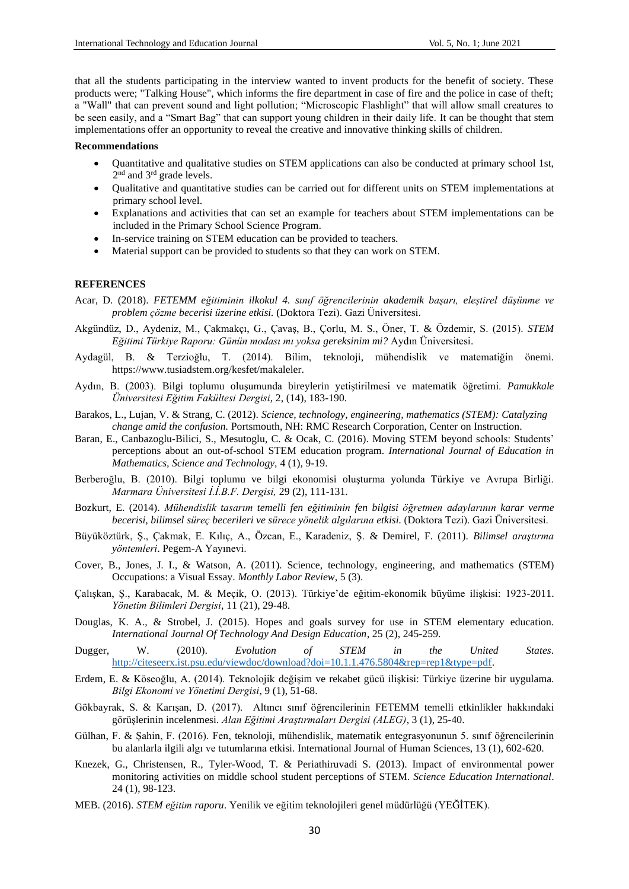that all the students participating in the interview wanted to invent products for the benefit of society. These products were; "Talking House", which informs the fire department in case of fire and the police in case of theft; a "Wall" that can prevent sound and light pollution; "Microscopic Flashlight" that will allow small creatures to be seen easily, and a "Smart Bag" that can support young children in their daily life. It can be thought that stem implementations offer an opportunity to reveal the creative and innovative thinking skills of children.

## **Recommendations**

- Quantitative and qualitative studies on STEM applications can also be conducted at primary school 1st, 2<sup>nd</sup> and 3<sup>rd</sup> grade levels.
- Qualitative and quantitative studies can be carried out for different units on STEM implementations at primary school level.
- Explanations and activities that can set an example for teachers about STEM implementations can be included in the Primary School Science Program.
- In-service training on STEM education can be provided to teachers.
- Material support can be provided to students so that they can work on STEM.

#### **REFERENCES**

- Acar, D. (2018). *FETEMM eğitiminin ilkokul 4. sınıf öğrencilerinin akademik başarı, eleştirel düşünme ve problem çözme becerisi üzerine etkisi.* (Doktora Tezi). Gazi Üniversitesi.
- Akgündüz, D., Aydeniz, M., Çakmakçı, G., Çavaş, B., Çorlu, M. S., Öner, T. & Özdemir, S. (2015). *STEM Eğitimi Türkiye Raporu: Günün modası mı yoksa gereksinim mi?* Aydın Üniversitesi.
- Aydagül, B. & Terzioğlu, T. (2014). Bilim, teknoloji, mühendislik ve matematiğin önemi. https://www.tusiadstem.org/kesfet/makaleler.
- Aydın, B. (2003). Bilgi toplumu oluşumunda bireylerin yetiştirilmesi ve matematik öğretimi. *Pamukkale Üniversitesi Eğitim Fakültesi Dergisi*, 2, (14), 183-190.
- Barakos, L., Lujan, V. & Strang, C. (2012). *Science, technology, engineering, mathematics (STEM): Catalyzing change amid the confusion.* Portsmouth, NH: RMC Research Corporation, Center on Instruction.
- Baran, E., Canbazoglu-Bilici, S., Mesutoglu, C. & Ocak, C. (2016). Moving STEM beyond schools: Students' perceptions about an out-of-school STEM education program. *International Journal of Education in Mathematics, Science and Technology,* 4 (1), 9-19.
- Berberoğlu, B. (2010). Bilgi toplumu ve bilgi ekonomisi oluşturma yolunda Türkiye ve Avrupa Birliği. *Marmara Üniversitesi İ.İ.B.F. Dergisi,* 29 (2), 111-131.
- Bozkurt, E. (2014). *Mühendislik tasarım temelli fen eğitiminin fen bilgisi öğretmen adaylarının karar verme becerisi, bilimsel süreç becerileri ve sürece yönelik algılarına etkisi.* (Doktora Tezi). Gazi Üniversitesi.
- Büyüköztürk, Ş., Çakmak, E. Kılıç, A., Özcan, E., Karadeniz, Ş. & Demirel, F. (2011). *Bilimsel araştırma yöntemleri*. Pegem-A Yayınevi.
- Cover, B., Jones, J. I., & Watson, A. (2011). Science, technology, engineering, and mathematics (STEM) Occupations: a Visual Essay. *Monthly Labor Review*, 5 (3).
- Çalışkan, Ş., Karabacak, M. & Meçik, O. (2013). Türkiye'de eğitim-ekonomik büyüme ilişkisi: 1923-2011. *Yönetim Bilimleri Dergisi*, 11 (21), 29-48.
- Douglas, K. A., & Strobel, J. (2015). Hopes and goals survey for use in STEM elementary education. *International Journal Of Technology And Design Education*, 25 (2), 245-259.
- Dugger, W. (2010). *Evolution of STEM in the United States*. [http://citeseerx.ist.psu.edu/viewdoc/download?doi=10.1.1.476.5804&rep=rep1&type=pdf.](http://citeseerx.ist.psu.edu/viewdoc/download?doi=10.1.1.476.5804&rep=rep1&type=pdf)
- Erdem, E. & Köseoğlu, A. (2014). Teknolojik değişim ve rekabet gücü ilişkisi: Türkiye üzerine bir uygulama. *Bilgi Ekonomi ve Yönetimi Dergisi*, 9 (1), 51-68.
- Gökbayrak, S. & Karışan, D. (2017). Altıncı sınıf öğrencilerinin FETEMM temelli etkinlikler hakkındaki görüşlerinin incelenmesi. *Alan Eğitimi Araştırmaları Dergisi (ALEG)*, 3 (1), 25-40.
- Gülhan, F. & Şahin, F. (2016). Fen, teknoloji, mühendislik, matematik entegrasyonunun 5. sınıf öğrencilerinin bu alanlarla ilgili algı ve tutumlarına etkisi. International Journal of Human Sciences, 13 (1), 602-620.
- Knezek, G., Christensen, R., Tyler-Wood, T. & Periathiruvadi S. (2013). Impact of environmental power monitoring activities on middle school student perceptions of STEM. *Science Education International*. 24 (1), 98-123.
- MEB. (2016). *STEM eğitim raporu*. Yenilik ve eğitim teknolojileri genel müdürlüğü (YEĞİTEK).